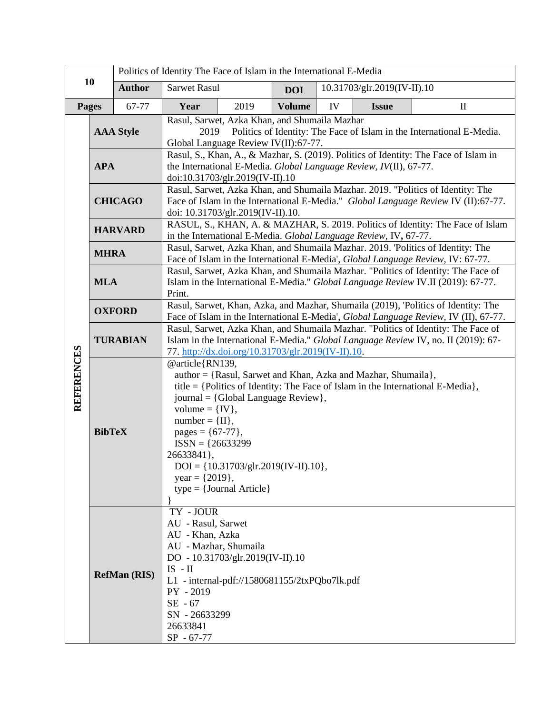|                   |                                                                                                                                                                                                                                                                                                                                                                                                                                         | Politics of Identity The Face of Islam in the International E-Media |                                                                                                                                                                                                                               |      |               |    |                             |              |
|-------------------|-----------------------------------------------------------------------------------------------------------------------------------------------------------------------------------------------------------------------------------------------------------------------------------------------------------------------------------------------------------------------------------------------------------------------------------------|---------------------------------------------------------------------|-------------------------------------------------------------------------------------------------------------------------------------------------------------------------------------------------------------------------------|------|---------------|----|-----------------------------|--------------|
| 10                |                                                                                                                                                                                                                                                                                                                                                                                                                                         | <b>Author</b>                                                       | <b>Sarwet Rasul</b>                                                                                                                                                                                                           |      | <b>DOI</b>    |    | 10.31703/glr.2019(IV-II).10 |              |
|                   | Pages                                                                                                                                                                                                                                                                                                                                                                                                                                   | 67-77                                                               | Year                                                                                                                                                                                                                          | 2019 | <b>Volume</b> | IV | <b>Issue</b>                | $\mathbf{I}$ |
|                   | <b>AAA Style</b>                                                                                                                                                                                                                                                                                                                                                                                                                        |                                                                     | Rasul, Sarwet, Azka Khan, and Shumaila Mazhar<br>Politics of Identity: The Face of Islam in the International E-Media.<br>2019<br>Global Language Review IV(II):67-77.                                                        |      |               |    |                             |              |
|                   | <b>APA</b>                                                                                                                                                                                                                                                                                                                                                                                                                              |                                                                     | Rasul, S., Khan, A., & Mazhar, S. (2019). Politics of Identity: The Face of Islam in<br>the International E-Media. Global Language Review, IV(II), 67-77.<br>doi:10.31703/glr.2019(IV-II).10                                  |      |               |    |                             |              |
|                   | <b>CHICAGO</b>                                                                                                                                                                                                                                                                                                                                                                                                                          |                                                                     | Rasul, Sarwet, Azka Khan, and Shumaila Mazhar. 2019. "Politics of Identity: The<br>Face of Islam in the International E-Media." Global Language Review IV (II):67-77.<br>doi: 10.31703/glr.2019(IV-II).10.                    |      |               |    |                             |              |
| <b>REFERENCES</b> | <b>HARVARD</b>                                                                                                                                                                                                                                                                                                                                                                                                                          |                                                                     | RASUL, S., KHAN, A. & MAZHAR, S. 2019. Politics of Identity: The Face of Islam<br>in the International E-Media. Global Language Review, IV, 67-77.                                                                            |      |               |    |                             |              |
|                   | <b>MHRA</b>                                                                                                                                                                                                                                                                                                                                                                                                                             |                                                                     | Rasul, Sarwet, Azka Khan, and Shumaila Mazhar. 2019. 'Politics of Identity: The<br>Face of Islam in the International E-Media', Global Language Review, IV: 67-77.                                                            |      |               |    |                             |              |
|                   | <b>MLA</b>                                                                                                                                                                                                                                                                                                                                                                                                                              |                                                                     | Rasul, Sarwet, Azka Khan, and Shumaila Mazhar. "Politics of Identity: The Face of<br>Islam in the International E-Media." Global Language Review IV.II (2019): 67-77.<br>Print.                                               |      |               |    |                             |              |
|                   | <b>OXFORD</b>                                                                                                                                                                                                                                                                                                                                                                                                                           |                                                                     | Rasul, Sarwet, Khan, Azka, and Mazhar, Shumaila (2019), 'Politics of Identity: The<br>Face of Islam in the International E-Media', Global Language Review, IV (II), 67-77.                                                    |      |               |    |                             |              |
|                   | <b>TURABIAN</b>                                                                                                                                                                                                                                                                                                                                                                                                                         |                                                                     | Rasul, Sarwet, Azka Khan, and Shumaila Mazhar. "Politics of Identity: The Face of<br>Islam in the International E-Media." Global Language Review IV, no. II (2019): 67-<br>77. http://dx.doi.org/10.31703/glr.2019(IV-II).10. |      |               |    |                             |              |
|                   | @article{RN139,<br>author = {Rasul, Sarwet and Khan, Azka and Mazhar, Shumaila},<br>title = {Politics of Identity: The Face of Islam in the International E-Media},<br>journal = {Global Language Review},<br>volume = $\{IV\},\$<br>$number = \{II\},\$<br><b>BibTeX</b><br>pages = ${67-77}$ ,<br>$ISSN = \{26633299$<br>26633841},<br>$DOI = \{10.31703/glr.2019(IV-II).10\},\$<br>year = $\{2019\}$ ,<br>$type = {Journal Article}$ |                                                                     |                                                                                                                                                                                                                               |      |               |    |                             |              |
|                   | TY - JOUR<br>AU - Rasul, Sarwet<br>AU - Khan, Azka<br>AU - Mazhar, Shumaila<br>DO - 10.31703/glr.2019(IV-II).10<br>$IS$ - $II$<br><b>RefMan (RIS)</b><br>L1 - internal-pdf://1580681155/2txPQbo7lk.pdf<br>PY - 2019<br>$SE - 67$<br>SN - 26633299<br>26633841<br>$SP - 67-77$                                                                                                                                                           |                                                                     |                                                                                                                                                                                                                               |      |               |    |                             |              |